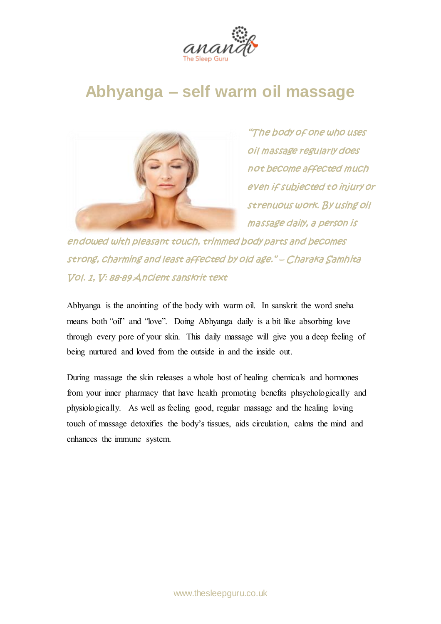

## **Abhyanga – self warm oil massage**



"The body of one who uses oil massage regularly does not become affected much even if subjected to injury or strenuous work. By using oil massage daily, a person is

endowed with pleasant touch, trimmed body parts and becomes strong, charming and least affected by old age." – Charaka Samhita Vol. 1, V: 88-89 Ancient sanskrit text

**Abhyanga is the anointing of the body with warm oil. In sanskrit the word sneha means both "oil" and "love". Doing Abhyanga daily is a bit like absorbing love through every pore of your skin. This daily massage will give you a deep feeling of being nurtured and loved from the outside in and the inside out.**

**During massage the skin releases a whole host of healing chemicals and hormones from your inner pharmacy that have health promoting benefits phsychologically and physiologically. As well as feeling good, regular massage and the healing loving touch of massage detoxifies the body's tissues, aids circulation, calms the mind and enhances the immune system.**